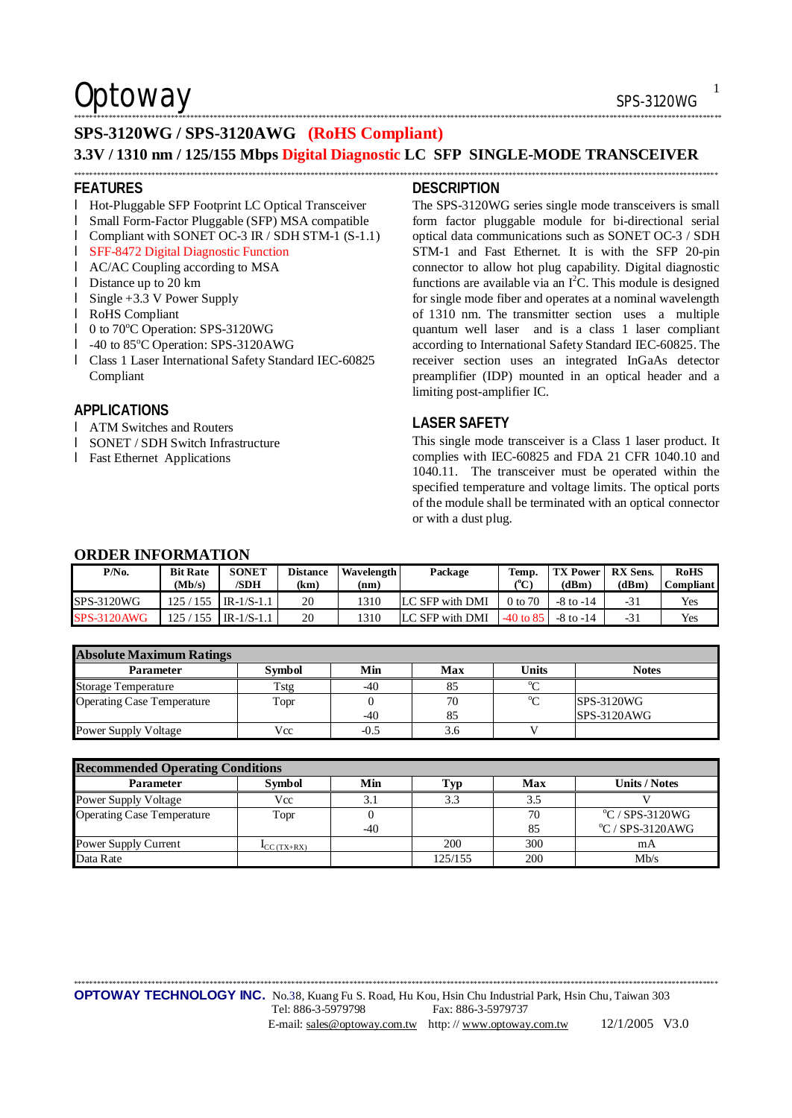$\mathsf{Optionway}$  sps-3120WG

### **SPS-3120WG / SPS-3120AWG (RoHS Compliant)**

### **3.3V / 1310 nm / 125/155 Mbps Digital Diagnostic LC SFP SINGLE-MODE TRANSCEIVER**  \*\*\*\*\*\*\*\*\*\*\*\*\*\*\*\*\*\*\*\*\*\*\*\*\*\*\*\*\*\*\*\*\*\*\*\*\*\*\*\*\*\*\*\*\*\*\*\*\*\*\*\*\*\*\*\*\*\*\*\*\*\*\*\*\*\*\*\*\*\*\*\*\*\*\*\*\*\*\*\*\*\*\*\*\*\*\*\*\*\*\*\*\*\*\*\*\*\*\*\*\*\*\*\*\*\*\*\*\*\*\*\*\*\*\*\*\*\*\*\*\*\*\*\*\*\*\*\*\*\*\*\*\*\*\*\*\*\*\*\*\*\*\*\*\*\*\*\*\*\*\*\*\*\*\*\*\*\*\*\*\*\*\*\*\*\*

#### **FEATURES**

- l Hot-Pluggable SFP Footprint LC Optical Transceiver
- l Small Form-Factor Pluggable (SFP) MSA compatible
- l Compliant with SONET OC-3 IR / SDH STM-1 (S-1.1)
- l SFF-8472 Digital Diagnostic Function
- l AC/AC Coupling according to MSA
- l Distance up to 20 km
- l Single +3.3 V Power Supply
- l RoHS Compliant
- l 0 to 70°C Operation: SPS-3120WG
- l -40 to 85°C Operation: SPS-3120AWG
- l Class 1 Laser International Safety Standard IEC-60825 Compliant

### **APPLICATIONS**

- l ATM Switches and Routers
- l SONET / SDH Switch Infrastructure
- l Fast Ethernet Applications

#### **DESCRIPTION**

\*\*\*\*\*\*\*\*\*\*\*\*\*\*\*\*\*\*\*\*\*\*\*\*\*\*\*\*\*\*\*\*\*\*\*\*\*\*\*\*\*\*\*\*\*\*\*\*\*\*\*\*\*\*\*\*\*\*\*\*\*\*\*\*\*\*\*\*\*\*\*\*\*\*\*\*\*\*\*\*\*\*\*\*\*\*\*\*\*\*\*\*\*\*\*\*\*\*\*\*\*\*\*\*\*\*\*\*\*\*\*\*\*\*\*\*\*\*\*\*\*\*\*\*\*\*\*\*\*\*\*\*\*\*\*\*\*\*\*\*\*\*\*\*\*\*\*\*\*\*\*\*\*\*\*\*\*\*\*\*\*\*\*\*\*\*\*

The SPS-3120WG series single mode transceivers is small form factor pluggable module for bi-directional serial optical data communications such as SONET OC-3 / SDH STM-1 and Fast Ethernet. It is with the SFP 20-pin connector to allow hot plug capability. Digital diagnostic functions are available via an  $I<sup>2</sup>C$ . This module is designed for single mode fiber and operates at a nominal wavelength of 1310 nm. The transmitter section uses a multiple quantum well laser and is a class 1 laser compliant according to International Safety Standard IEC-60825. The receiver section uses an integrated InGaAs detector preamplifier (IDP) mounted in an optical header and a limiting post-amplifier IC.

### **LASER SAFETY**

This single mode transceiver is a Class 1 laser product. It complies with IEC-60825 and FDA 21 CFR 1040.10 and 1040.11. The transceiver must be operated within the specified temperature and voltage limits. The optical ports of the module shall be terminated with an optical connector or with a dust plug.

### **ORDER INFORMATION**

| $P/N0$ .           | <b>Bit Rate</b><br>(Mb/s) | <b>SONET</b><br>/SDH | <b>Distance</b><br>(km) | <b>Wavelength</b><br>(nm) | Package         | Temp.<br>CС | <b>TX Power</b> RX Sens.<br>(dBm) | (dBm) | <b>RoHS</b><br><b>Compliant</b> |
|--------------------|---------------------------|----------------------|-------------------------|---------------------------|-----------------|-------------|-----------------------------------|-------|---------------------------------|
| SPS-3120WG         | 125/<br>155               | $IR-1/S-1.1$         | 20                      | 1310                      | LC SFP with DMI | 0 to 70     | $-8$ to $-14$                     | $-31$ | Yes                             |
| <b>SPS-3120AWG</b> | 155<br>125/               | $IR-1/S-1.1$         | 20                      | 1310                      | LC SFP with DMI | $-40$ to 85 | $-8$ to $-14$                     | -31   | Yes                             |

| <b>Absolute Maximum Ratings</b>   |               |        |     |         |              |  |  |
|-----------------------------------|---------------|--------|-----|---------|--------------|--|--|
| <b>Parameter</b>                  | <b>Symbol</b> | Min    | Max | Units   | <b>Notes</b> |  |  |
| <b>Storage Temperature</b>        | Tstg          | -40    | 85  | $0\sim$ |              |  |  |
| <b>Operating Case Temperature</b> | Topr          |        | 70  | $\sim$  | SPS-3120WG   |  |  |
|                                   |               | -40    | 85  |         | SPS-3120AWG  |  |  |
| <b>Power Supply Voltage</b>       | Vcc           | $-0.5$ | 3.6 |         |              |  |  |

| <b>Recommended Operating Conditions</b> |                          |     |         |     |                               |  |  |  |
|-----------------------------------------|--------------------------|-----|---------|-----|-------------------------------|--|--|--|
| <b>Parameter</b>                        | <b>Symbol</b>            | Min | Typ     | Max | <b>Units / Notes</b>          |  |  |  |
| <b>Power Supply Voltage</b>             | Vcc                      | 3.1 | 3.3     |     |                               |  |  |  |
| <b>Operating Case Temperature</b>       | Topr                     |     |         | 70  | $\rm ^{o}C$ / SPS-3120WG      |  |  |  |
|                                         |                          | -40 |         | 85  | $\rm ^{\circ}C$ / SPS-3120AWG |  |  |  |
| Power Supply Current                    | $\mathbf{I}_{CC(TX+RX)}$ |     | 200     | 300 | mA                            |  |  |  |
| Data Rate                               |                          |     | 125/155 | 200 | M <sub>b</sub> /s             |  |  |  |

\*\*\*\*\*\*\*\*\*\*\*\*\*\*\*\*\*\*\*\*\*\*\*\*\*\*\*\*\*\*\*\*\*\*\*\*\*\*\*\*\*\*\*\*\*\*\*\*\*\*\*\*\*\*\*\*\*\*\*\*\*\*\*\*\*\*\*\*\*\*\*\*\*\*\*\*\*\*\*\*\*\*\*\*\*\*\*\*\*\*\*\*\*\*\*\*\*\*\*\*\*\*\*\*\*\*\*\*\*\*\*\*\*\*\*\*\*\*\*\*\*\*\*\*\*\*\*\*\*\*\*\*\*\*\*\*\*\*\*\*\*\*\*\*\*\*\*\*\*\*\*\*\*\*\*\*\*\*\*\*\*\*\*\*\*\*

**OPTOWAY TECHNOLOGY INC.** No.38, Kuang Fu S. Road, Hu Kou, Hsin Chu Industrial Park, Hsin Chu, Taiwan 303

Fax: 886-3-5979737 E-mail: [sales@optoway.com.tw](mailto:sales@optoway.com.tw) http://[www.optoway.com.tw](http://www.optoway.com.tw) 12/1/2005 V3.0 1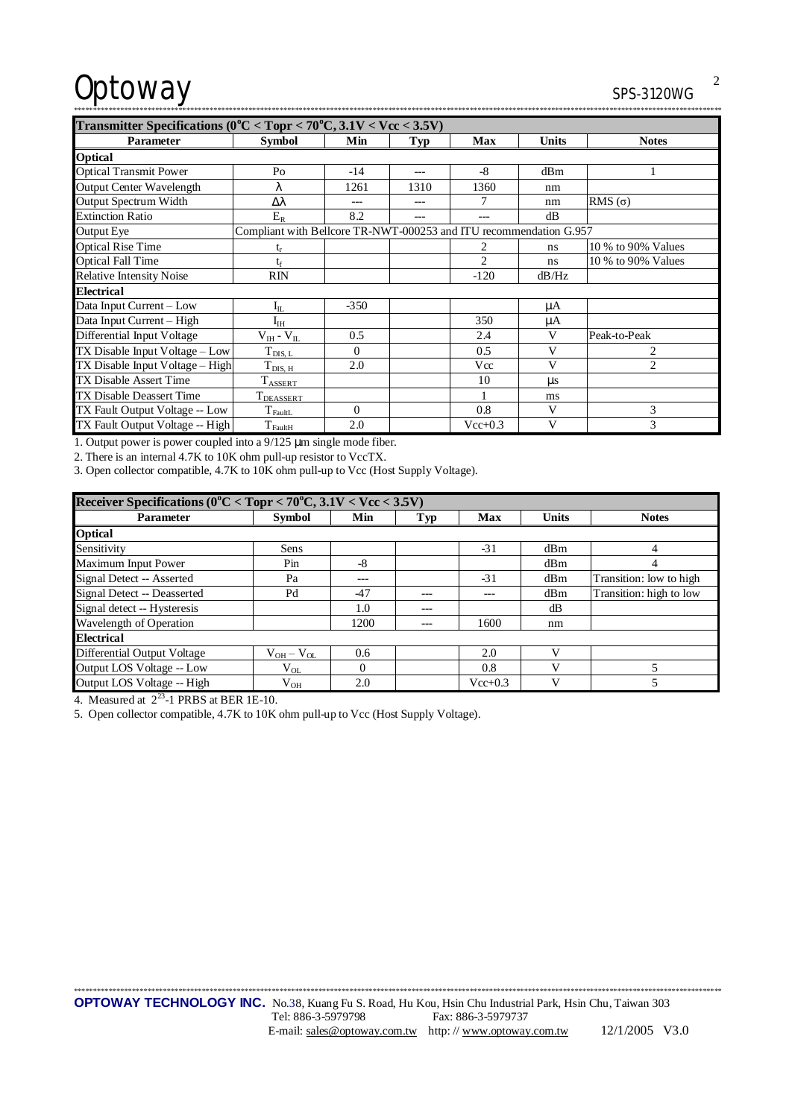# Optoway SPS-3120WG

\*\*\*\*\*\*\*\*\*\*\*\*\*\*\*\*\*\*\*\*\*\*\*\*\*\*\*\*\*\*\*\*\*\*\*\*\*\*\*\*\*\*\*\*\*\*\*\*\*\*\*\*\*\*\*\*\*\*\*\*\*\*\*\*\*\*\*\*\*\*\*\*\*\*\*\*\*\*\*\*\*\*\*\*\*\*\*\*\*\*\*\*\*\*\*\*\*\*\*\*\*\*\*\*\*\*\*\*\*\*\*\*\*\*\*\*\*\*\*\*\*\*\*\*\*\*\*\*\*\*\*\*\*\*\*\*\*\*\*\*\*\*\*\*\*\*\*\*\*\*\*\*\*\*\*\*\*\*\*\*\*\*\*\*\*\*\*

| Transmitter Specifications ( $0^{\circ}$ C < Topr < 70°C, 3.1V < Vcc < 3.5V) |                                                                    |          |      |                |              |                             |  |
|------------------------------------------------------------------------------|--------------------------------------------------------------------|----------|------|----------------|--------------|-----------------------------|--|
| Parameter                                                                    | <b>Symbol</b>                                                      | Min      | Typ  | <b>Max</b>     | <b>Units</b> | <b>Notes</b>                |  |
| <b>Optical</b>                                                               |                                                                    |          |      |                |              |                             |  |
| <b>Optical Transmit Power</b>                                                | P <sub>O</sub>                                                     | $-14$    | ---  | -8             | dBm          |                             |  |
| Output Center Wavelength                                                     | ٨.                                                                 | 1261     | 1310 | 1360           | nm           |                             |  |
| <b>Output Spectrum Width</b>                                                 | Δλ                                                                 |          |      | 7              | nm           | RMS $(\sigma)$              |  |
| <b>Extinction Ratio</b>                                                      | $E_R$                                                              | 8.2      | ---  | ---            | dB           |                             |  |
| <b>Output Eye</b>                                                            | Compliant with Bellcore TR-NWT-000253 and ITU recommendation G.957 |          |      |                |              |                             |  |
| <b>Optical Rise Time</b>                                                     |                                                                    |          |      |                | ns           | 10 % to 90% Values          |  |
| <b>Optical Fall Time</b>                                                     | te                                                                 |          |      | $\mathfrak{D}$ | ns           | 10 % to 90% Values          |  |
| <b>Relative Intensity Noise</b>                                              | <b>RIN</b>                                                         |          |      | $-120$         | dB/Hz        |                             |  |
| <b>Electrical</b>                                                            |                                                                    |          |      |                |              |                             |  |
| Data Input Current - Low                                                     | $\rm I_{IL}$                                                       | $-350$   |      |                | μA           |                             |  |
| Data Input Current - High                                                    | ${\rm I_{\rm IH}}$                                                 |          |      | 350            | μA           |                             |  |
| Differential Input Voltage                                                   | $V_{IH}$ - $V_{II}$                                                | 0.5      |      | 2.4            | V            | Peak-to-Peak                |  |
| TX Disable Input Voltage – Low                                               | $T_{\text{DIS, L}}$                                                | $\Omega$ |      | 0.5            | V            | 2                           |  |
| TX Disable Input Voltage - High                                              | $T_{\rm DIS,~H}$                                                   | 2.0      |      | Vcc            | V            | $\mathcal{D}_{\mathcal{L}}$ |  |
| <b>TX Disable Assert Time</b>                                                | $T_{\text{ASSERT}}$                                                |          |      | 10             | us           |                             |  |
| TX Disable Deassert Time                                                     | T <sub>DEASSERT</sub>                                              |          |      |                | ms           |                             |  |
| TX Fault Output Voltage -- Low                                               | $T_{\text{FaultL}}$                                                | $\Omega$ |      | 0.8            | V            | 3                           |  |
| TX Fault Output Voltage -- High                                              | $T_{\rm FaultH}$                                                   | 2.0      |      | $Vec{+}0.3$    | V            | 3                           |  |

1. Output power is power coupled into a 9/125 μm single mode fiber.

2. There is an internal 4.7K to 10K ohm pull-up resistor to VccTX.

3. Open collector compatible, 4.7K to 10K ohm pull-up to Vcc (Host Supply Voltage).

| Receiver Specifications ( $0^{\circ}$ C < Topr < 70°C, 3.1V < Vcc < 3.5V) |                 |          |       |             |              |                         |  |  |
|---------------------------------------------------------------------------|-----------------|----------|-------|-------------|--------------|-------------------------|--|--|
| <b>Parameter</b>                                                          | <b>Symbol</b>   | Min      | Typ   | Max         | <b>Units</b> | <b>Notes</b>            |  |  |
| <b>Optical</b>                                                            |                 |          |       |             |              |                         |  |  |
| Sensitivity                                                               | Sens            |          |       | $-31$       | dBm          | 4                       |  |  |
| Maximum Input Power                                                       | Pin             | -8       |       |             | dBm          | 4                       |  |  |
| Signal Detect -- Asserted                                                 | Pa              | ---      |       | $-31$       | dBm          | Transition: low to high |  |  |
| Signal Detect -- Deasserted                                               | Pd              | $-47$    | $- -$ |             | dBm          | Transition: high to low |  |  |
| Signal detect -- Hysteresis                                               |                 | 1.0      |       |             | dВ           |                         |  |  |
| Wavelength of Operation                                                   |                 | 1200     |       | 1600        | nm           |                         |  |  |
| <b>Electrical</b>                                                         |                 |          |       |             |              |                         |  |  |
| Differential Output Voltage                                               | $V_{OH}-V_{OL}$ | 0.6      |       | 2.0         |              |                         |  |  |
| Output LOS Voltage -- Low                                                 | $V_{OL}$        | $\Omega$ |       | 0.8         |              |                         |  |  |
| Output LOS Voltage -- High                                                | $V_{OH}$        | 2.0      |       | $Vec{+}0.3$ |              |                         |  |  |

4. Measured at  $2^{23}$ -1 PRBS at BER 1E-10.

5. Open collector compatible, 4.7K to 10K ohm pull-up to Vcc (Host Supply Voltage).

\*\*\*\*\*\*\*\*\*\*\*\*\*\*\*\*\*\*\*\*\*\*\*\*\*\*\*\*\*\*\*\*\*\*\*\*\*\*\*\*\*\*\*\*\*\*\*\*\*\*\*\*\*\*\*\*\*\*\*\*\*\*\*\*\*\*\*\*\*\*\*\*\*\*\*\*\*\*\*\*\*\*\*\*\*\*\*\*\*\*\*\*\*\*\*\*\*\*\*\*\*\*\*\*\*\*\*\*\*\*\*\*\*\*\*\*\*\*\*\*\*\*\*\*\*\*\*\*\*\*\*\*\*\*\*\*\*\*\*\*\*\*\*\*\*\*\*\*\*\*\*\*\*\*\*\*\*\*\*\*\*\*\*\*\*\*\*

2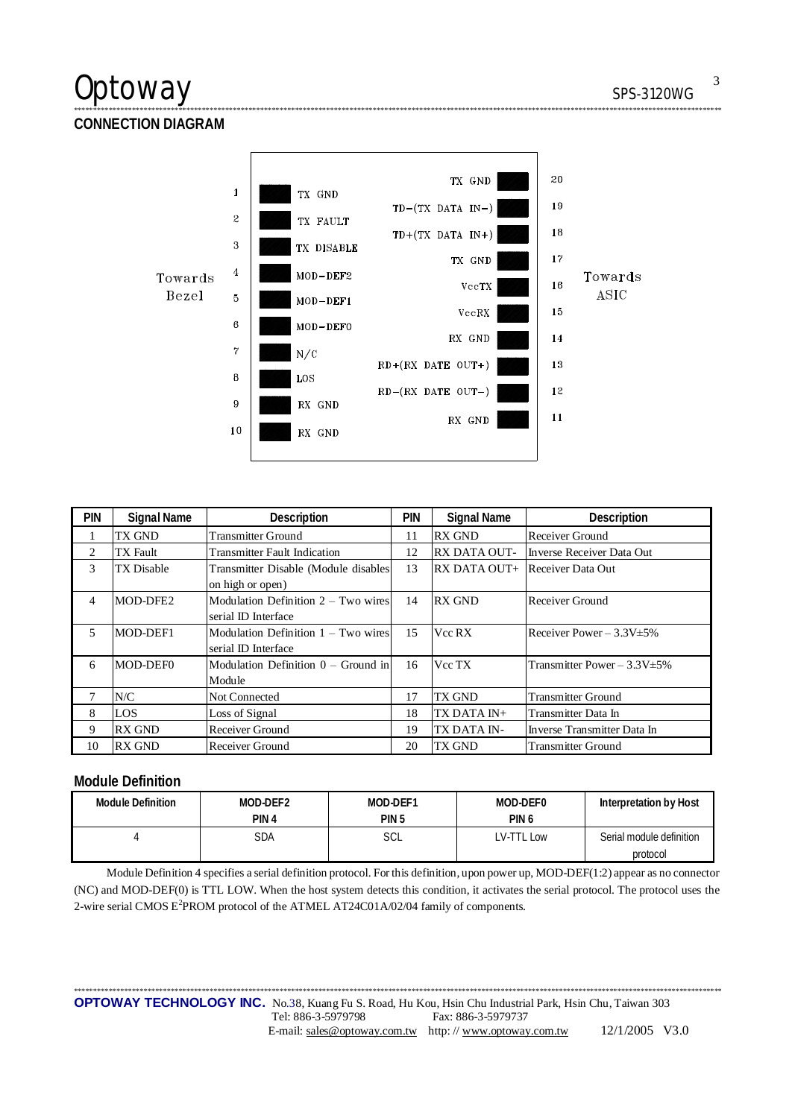# Optoway SPS-3120WG

**CONNECTION DIAGRAM** 



\*\*\*\*\*\*\*\*\*\*\*\*\*\*\*\*\*\*\*\*\*\*\*\*\*\*\*\*\*\*\*\*\*\*\*\*\*\*\*\*\*\*\*\*\*\*\*\*\*\*\*\*\*\*\*\*\*\*\*\*\*\*\*\*\*\*\*\*\*\*\*\*\*\*\*\*\*\*\*\*\*\*\*\*\*\*\*\*\*\*\*\*\*\*\*\*\*\*\*\*\*\*\*\*\*\*\*\*\*\*\*\*\*\*\*\*\*\*\*\*\*\*\*\*\*\*\*\*\*\*\*\*\*\*\*\*\*\*\*\*\*\*\*\*\*\*\*\*\*\*\*\*\*\*\*\*\*\*\*\*\*\*\*\*\*\*\*

| <b>PIN</b> | <b>Signal Name</b> | Description                           | PIN | <b>Signal Name</b>                    | Description                       |
|------------|--------------------|---------------------------------------|-----|---------------------------------------|-----------------------------------|
|            | TX GND             | <b>Transmitter Ground</b>             | 11  | <b>RX GND</b>                         | Receiver Ground                   |
| 2          | TX Fault           | <b>Transmitter Fault Indication</b>   | 12  | <b>RX DATA OUT-</b>                   | Inverse Receiver Data Out         |
| 3          | <b>TX</b> Disable  | Transmitter Disable (Module disables  | 13  | <b>RX DATA OUT+</b> Receiver Data Out |                                   |
|            |                    | on high or open)                      |     |                                       |                                   |
| 4          | MOD-DFE2           | Modulation Definition $2 - Two wires$ | 14  | <b>RX GND</b>                         | Receiver Ground                   |
|            |                    | serial ID Interface                   |     |                                       |                                   |
| 5          | MOD-DEF1           | Modulation Definition $1 - Two wires$ | 15  | Vcc RX                                | Receiver Power $-3.3V \pm 5\%$    |
|            |                    | serial ID Interface                   |     |                                       |                                   |
| 6          | MOD-DEF0           | Modulation Definition $0 -$ Ground in | 16  | Vcc TX                                | Transmitter Power $-3.3V \pm 5\%$ |
|            |                    | Module                                |     |                                       |                                   |
|            | N/C                | Not Connected                         | 17  | TX GND                                | <b>Transmitter Ground</b>         |
| 8          | LOS                | Loss of Signal                        | 18  | TX DATA IN+                           | Transmitter Data In               |
| 9          | <b>RX GND</b>      | Receiver Ground                       | 19  | TX DATA IN-                           | Inverse Transmitter Data In       |
| 10         | <b>RX GND</b>      | Receiver Ground                       | 20  | TX GND                                | <b>Transmitter Ground</b>         |

# **Module Definition**

| Module Definition | MOD-DEF2 | MOD-DEF1         | MOD-DEF0         | Interpretation by Host   |
|-------------------|----------|------------------|------------------|--------------------------|
|                   | PIN 4    | PIN <sub>5</sub> | PIN <sub>6</sub> |                          |
|                   | SDA      | SCL              | LV-TTL Low       | Serial module definition |
|                   |          |                  |                  | protocol                 |

Module Definition 4 specifies a serial definition protocol. For this definition, upon power up, MOD-DEF(1:2) appear as no connector (NC) and MOD-DEF(0) is TTL LOW. When the host system detects this condition, it activates the serial protocol. The protocol uses the 2-wire serial CMOS E<sup>2</sup>PROM protocol of the ATMEL AT24C01A/02/04 family of components.

\*\*\*\*\*\*\*\*\*\*\*\*\*\*\*\*\*\*\*\*\*\*\*\*\*\*\*\*\*\*\*\*\*\*\*\*\*\*\*\*\*\*\*\*\*\*\*\*\*\*\*\*\*\*\*\*\*\*\*\*\*\*\*\*\*\*\*\*\*\*\*\*\*\*\*\*\*\*\*\*\*\*\*\*\*\*\*\*\*\*\*\*\*\*\*\*\*\*\*\*\*\*\*\*\*\*\*\*\*\*\*\*\*\*\*\*\*\*\*\*\*\*\*\*\*\*\*\*\*\*\*\*\*\*\*\*\*\*\*\*\*\*\*\*\*\*\*\*\*\*\*\*\*\*\*\*\*\*\*\*\*\*\*\*\*\*\*